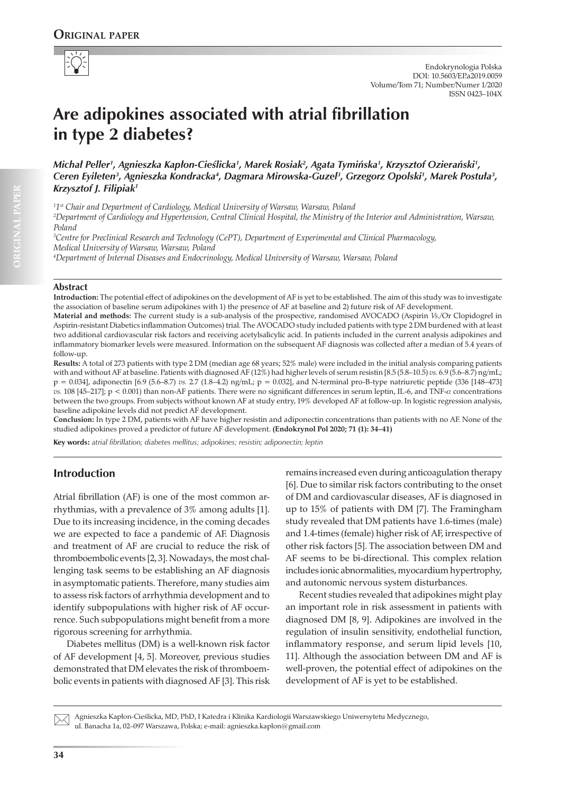

# **Are adipokines associated with atrial fibrillation in type 2 diabetes?**

Michał Peller', Agnieszka Kapłon-Cieślicka', Marek Rosiak<sup>2</sup>, Agata Tymińska', Krzysztof Ozierański', *Ceren Eyileten3 , Agnieszka Kondracka4 , Dagmara Mirowska-Guzel3 , Grzegorz Opolski1 , Marek Postuła3 , Krzysztof J. Filipiak1*

*1 1st Chair and Department of Cardiology, Medical University of Warsaw, Warsaw, Poland*

*2 Department of Cardiology and Hypertension, Central Clinical Hospital, the Ministry of the Interior and Administration, Warsaw, Poland*

*3 Centre for Preclinical Research and Technology (CePT), Department of Experimental and Clinical Pharmacology, Medical University of Warsaw, Warsaw, Poland*

*4 Department of Internal Diseases and Endocrinology, Medical University of Warsaw, Warsaw, Poland*

#### **Abstract**

**Introduction:** The potential effect of adipokines on the development of AF is yet to be established. The aim of this study was to investigate the association of baseline serum adipokines with 1) the presence of AF at baseline and 2) future risk of AF development.

**Material and methods:** The current study is a sub-analysis of the prospective, randomised AVOCADO (Aspirin *Vs.*/Or Clopidogrel in Aspirin-resistant Diabetics inflammation Outcomes) trial. The AVOCADO study included patients with type 2 DM burdened with at least two additional cardiovascular risk factors and receiving acetylsalicylic acid. In patients included in the current analysis adipokines and inflammatory biomarker levels were measured. Information on the subsequent AF diagnosis was collected after a median of 5.4 years of follow-up.

**Results:** A total of 273 patients with type 2 DM (median age 68 years; 52% male) were included in the initial analysis comparing patients with and without AF at baseline. Patients with diagnosed AF (12%) had higher levels of serum resistin [8.5 (5.8–10.5) *vs.* 6.9 (5.6–8.7) ng/mL; p = 0.034], adiponectin [6.9 (5.6–8.7) *vs.* 2.7 (1.8–4.2) ng/mL; p = 0.032], and N-terminal pro-B-type natriuretic peptide (336 [148–473]  $v$ s. 108 [45–217];  $p < 0.001$ ) than non-AF patients. There were no significant differences in serum leptin, IL-6, and TNF- $\alpha$  concentrations between the two groups. From subjects without known AF at study entry, 19% developed AF at follow-up. In logistic regression analysis, baseline adipokine levels did not predict AF development.

**Conclusion:** In type 2 DM, patients with AF have higher resistin and adiponectin concentrations than patients with no AF. None of the studied adipokines proved a predictor of future AF development. **(Endokrynol Pol 2020; 71 (1): 34–41)**

**Key words:** *atrial fibrillation; diabetes mellitus; adipokines; resistin; adiponectin; leptin*

# **Introduction**

Atrial fibrillation (AF) is one of the most common arrhythmias, with a prevalence of 3% among adults [1]. Due to its increasing incidence, in the coming decades we are expected to face a pandemic of AF. Diagnosis and treatment of AF are crucial to reduce the risk of thromboembolic events [2, 3]. Nowadays, the most challenging task seems to be establishing an AF diagnosis in asymptomatic patients. Therefore, many studies aim to assess risk factors of arrhythmia development and to identify subpopulations with higher risk of AF occurrence. Such subpopulations might benefit from a more rigorous screening for arrhythmia.

Diabetes mellitus (DM) is a well-known risk factor of AF development [4, 5]. Moreover, previous studies demonstrated that DM elevates the risk of thromboembolic events in patients with diagnosed AF [3]. This risk remains increased even during anticoagulation therapy [6]. Due to similar risk factors contributing to the onset of DM and cardiovascular diseases, AF is diagnosed in up to 15% of patients with DM [7]. The Framingham study revealed that DM patients have 1.6-times (male) and 1.4-times (female) higher risk of AF, irrespective of other risk factors [5]. The association between DM and AF seems to be bi-directional. This complex relation includes ionic abnormalities, myocardium hypertrophy, and autonomic nervous system disturbances.

Recent studies revealed that adipokines might play an important role in risk assessment in patients with diagnosed DM [8, 9]. Adipokines are involved in the regulation of insulin sensitivity, endothelial function, inflammatory response, and serum lipid levels [10, 11]. Although the association between DM and AF is well-proven, the potential effect of adipokines on the development of AF is yet to be established.

Agnieszka Kapłon-Cieślicka, MD, PhD, I Katedra i Klinika Kardiologii Warszawskiego Uniwersytetu Medycznego, ul. Banacha 1a, 02–097 Warszawa, Polska; e-mail: agnieszka.kaplon@gmail.com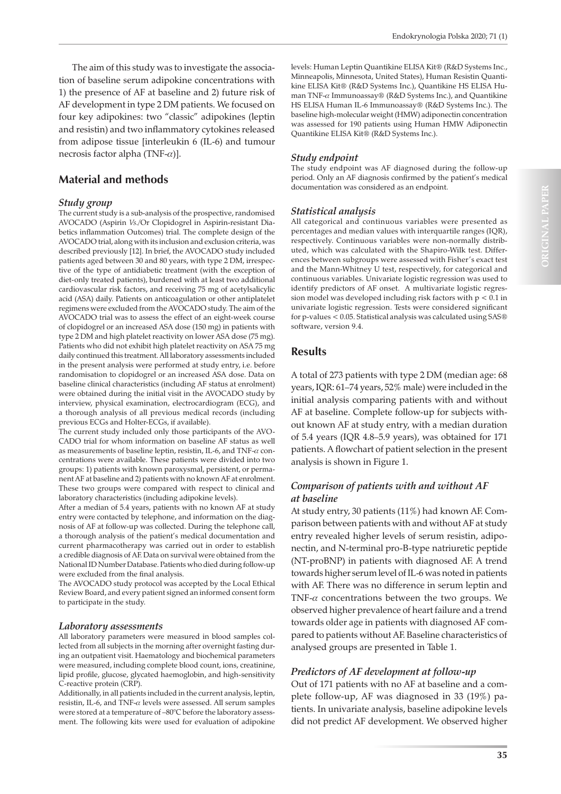The aim of this study was to investigate the association of baseline serum adipokine concentrations with 1) the presence of AF at baseline and 2) future risk of AF development in type 2 DM patients. We focused on four key adipokines: two "classic" adipokines (leptin and resistin) and two inflammatory cytokines released from adipose tissue [interleukin 6 (IL-6) and tumour necrosis factor alpha (TNF- $\alpha$ )].

## **Material and methods**

#### *Study group*

The current study is a sub-analysis of the prospective, randomised AVOCADO (Aspirin *Vs.*/Or Clopidogrel in Aspirin-resistant Diabetics inflammation Outcomes) trial. The complete design of the AVOCADO trial, along with its inclusion and exclusion criteria, was described previously [12]. In brief, the AVOCADO study included patients aged between 30 and 80 years, with type 2 DM, irrespective of the type of antidiabetic treatment (with the exception of diet-only treated patients), burdened with at least two additional cardiovascular risk factors, and receiving 75 mg of acetylsalicylic acid (ASA) daily. Patients on anticoagulation or other antiplatelet regimens were excluded from the AVOCADO study. The aim of the AVOCADO trial was to assess the effect of an eight-week course of clopidogrel or an increased ASA dose (150 mg) in patients with type 2 DM and high platelet reactivity on lower ASA dose (75 mg). Patients who did not exhibit high platelet reactivity on ASA 75 mg daily continued this treatment. All laboratory assessments included in the present analysis were performed at study entry, i.e. before randomisation to clopidogrel or an increased ASA dose. Data on baseline clinical characteristics (including AF status at enrolment) were obtained during the initial visit in the AVOCADO study by interview, physical examination, electrocardiogram (ECG), and a thorough analysis of all previous medical records (including previous ECGs and Holter-ECGs, if available).

The current study included only those participants of the AVO-CADO trial for whom information on baseline AF status as well as measurements of baseline leptin, resistin, IL-6, and TNF- $\alpha$  concentrations were available. These patients were divided into two groups: 1) patients with known paroxysmal, persistent, or permanent AF at baseline and 2) patients with no known AF at enrolment. These two groups were compared with respect to clinical and laboratory characteristics (including adipokine levels).

After a median of 5.4 years, patients with no known AF at study entry were contacted by telephone, and information on the diagnosis of AF at follow-up was collected. During the telephone call, a thorough analysis of the patient's medical documentation and current pharmacotherapy was carried out in order to establish a credible diagnosis of AF. Data on survival were obtained from the National ID Number Database. Patients who died during follow-up were excluded from the final analysis.

The AVOCADO study protocol was accepted by the Local Ethical Review Board, and every patient signed an informed consent form to participate in the study.

#### *Laboratory assessments*

All laboratory parameters were measured in blood samples collected from all subjects in the morning after overnight fasting during an outpatient visit. Haematology and biochemical parameters were measured, including complete blood count, ions, creatinine, lipid profile, glucose, glycated haemoglobin, and high-sensitivity C-reactive protein (CRP).

Additionally, in all patients included in the current analysis, leptin, resistin, IL-6, and TNF- $\alpha$  levels were assessed. All serum samples were stored at a temperature of –80°C before the laboratory assessment. The following kits were used for evaluation of adipokine levels: Human Leptin Quantikine ELISA Kit® (R&D Systems Inc., Minneapolis, Minnesota, United States), Human Resistin Quantikine ELISA Kit® (R&D Systems Inc.), Quantikine HS ELISA Human TNF- $\alpha$  Immunoassay® (R&D Systems Inc.), and Quantikine HS ELISA Human IL-6 Immunoassay® (R&D Systems Inc.). The baseline high-molecular weight (HMW) adiponectin concentration was assessed for 190 patients using Human HMW Adiponectin Quantikine ELISA Kit® (R&D Systems Inc.).

#### *Study endpoint*

The study endpoint was AF diagnosed during the follow-up period. Only an AF diagnosis confirmed by the patient's medical documentation was considered as an endpoint.

#### *Statistical analysis*

All categorical and continuous variables were presented as percentages and median values with interquartile ranges (IQR), respectively. Continuous variables were non-normally distributed, which was calculated with the Shapiro-Wilk test. Differences between subgroups were assessed with Fisher's exact test and the Mann-Whitney U test, respectively, for categorical and continuous variables. Univariate logistic regression was used to identify predictors of AF onset. A multivariate logistic regression model was developed including risk factors with  $p < 0.1$  in univariate logistic regression. Tests were considered significant for p-values < 0.05. Statistical analysis was calculated using SAS® software, version 9.4.

#### **Results**

A total of 273 patients with type 2 DM (median age: 68 years, IQR: 61–74 years, 52% male) were included in the initial analysis comparing patients with and without AF at baseline. Complete follow-up for subjects without known AF at study entry, with a median duration of 5.4 years (IQR 4.8–5.9 years), was obtained for 171 patients. A flowchart of patient selection in the present analysis is shown in Figure 1.

## *Comparison of patients with and without AF at baseline*

At study entry, 30 patients (11%) had known AF. Comparison between patients with and without AF at study entry revealed higher levels of serum resistin, adiponectin, and N-terminal pro-B-type natriuretic peptide (NT-proBNP) in patients with diagnosed AF. A trend towards higher serum level of IL-6 was noted in patients with AF. There was no difference in serum leptin and TNF- $\alpha$  concentrations between the two groups. We observed higher prevalence of heart failure and a trend towards older age in patients with diagnosed AF compared to patients without AF. Baseline characteristics of analysed groups are presented in Table 1.

#### *Predictors of AF development at follow-up*

Out of 171 patients with no AF at baseline and a complete follow-up, AF was diagnosed in 33 (19%) patients. In univariate analysis, baseline adipokine levels did not predict AF development. We observed higher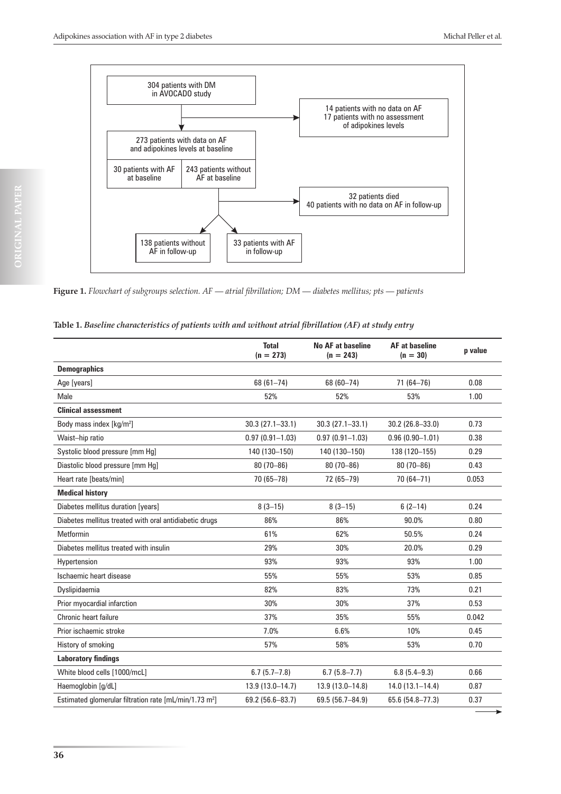

**Figure 1.** *Flowchart of subgroups selection. AF — atrial fibrillation; DM — diabetes mellitus; pts — patients*

| Table 1. Baseline characteristics of patients with and without atrial fibrillation (AF) at study entry |  |
|--------------------------------------------------------------------------------------------------------|--|
|--------------------------------------------------------------------------------------------------------|--|

|                                                                    | <b>Total</b><br>$(n = 273)$ | <b>No AF at baseline</b><br>$(n = 243)$ | <b>AF at baseline</b><br>$(n = 30)$ | p value |
|--------------------------------------------------------------------|-----------------------------|-----------------------------------------|-------------------------------------|---------|
| <b>Demographics</b>                                                |                             |                                         |                                     |         |
| Age [years]                                                        | $68(61 - 74)$               | 68 (60-74)                              | 71 (64-76)                          | 0.08    |
| Male                                                               | 52%                         | 52%                                     | 53%                                 | 1.00    |
| <b>Clinical assessment</b>                                         |                             |                                         |                                     |         |
| Body mass index [kg/m <sup>2</sup> ]                               | $30.3(27.1 - 33.1)$         | $30.3(27.1 - 33.1)$                     | 30.2 (26.8-33.0)                    | 0.73    |
| Waist-hip ratio                                                    | $0.97(0.91 - 1.03)$         | $0.97(0.91 - 1.03)$                     | $0.96(0.90 - 1.01)$                 | 0.38    |
| Systolic blood pressure [mm Hg]                                    | 140 (130-150)               | 140 (130-150)                           | 138 (120-155)                       | 0.29    |
| Diastolic blood pressure [mm Hq]                                   | 80 (70-86)                  | $80(70 - 86)$                           | $80(70 - 86)$                       | 0.43    |
| Heart rate [beats/min]                                             | 70 (65-78)                  | 72 (65-79)                              | 70 (64-71)                          | 0.053   |
| <b>Medical history</b>                                             |                             |                                         |                                     |         |
| Diabetes mellitus duration [years]                                 | $8(3-15)$                   | $8(3-15)$                               | $6(2-14)$                           | 0.24    |
| Diabetes mellitus treated with oral antidiabetic drugs             | 86%                         | 86%                                     | 90.0%                               | 0.80    |
| Metformin                                                          | 61%                         | 62%                                     | 50.5%                               | 0.24    |
| Diabetes mellitus treated with insulin                             | 29%                         | 30%                                     | 20.0%                               | 0.29    |
| Hypertension                                                       | 93%                         | 93%                                     | 93%                                 | 1.00    |
| Ischaemic heart disease                                            | 55%                         | 55%                                     | 53%                                 | 0.85    |
| Dyslipidaemia                                                      | 82%                         | 83%                                     | 73%                                 | 0.21    |
| Prior myocardial infarction                                        | 30%                         | 30%                                     | 37%                                 | 0.53    |
| Chronic heart failure                                              | 37%                         | 35%                                     | 55%                                 | 0.042   |
| Prior ischaemic stroke                                             | 7.0%                        | 6.6%                                    | 10%                                 | 0.45    |
| History of smoking                                                 | 57%                         | 58%                                     | 53%                                 | 0.70    |
| <b>Laboratory findings</b>                                         |                             |                                         |                                     |         |
| White blood cells [1000/mcL]                                       | $6.7(5.7-7.8)$              | $6.7(5.8-7.7)$                          | $6.8(5.4 - 9.3)$                    | 0.66    |
| Haemoglobin [g/dL]                                                 | $13.9(13.0 - 14.7)$         | 13.9 (13.0-14.8)                        | $14.0(13.1 - 14.4)$                 | 0.87    |
| Estimated glomerular filtration rate [mL/min/1.73 m <sup>2</sup> ] | 69.2 (56.6-83.7)            | 69.5 (56.7-84.9)                        | 65.6 (54.8-77.3)                    | 0.37    |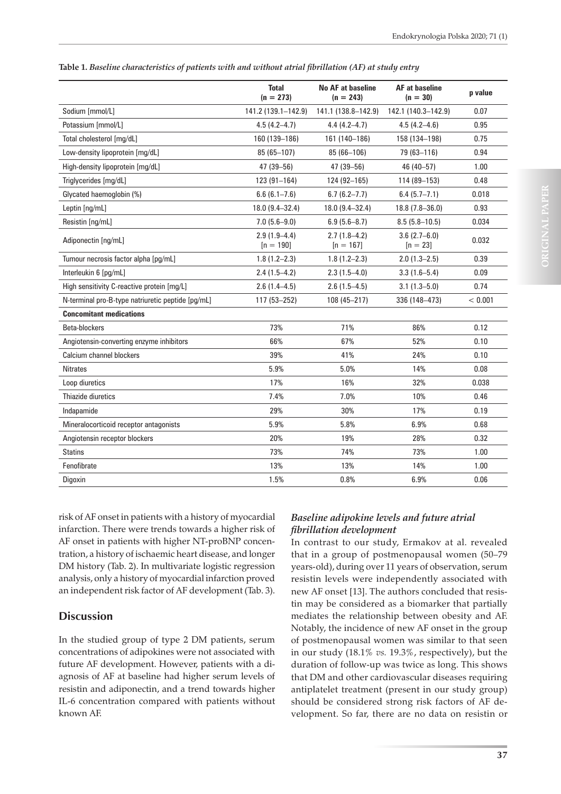|                                                   | <b>Total</b><br>$(n = 273)$   | <b>No AF at baseline</b><br>$(n = 243)$ | <b>AF at baseline</b><br>$(n = 30)$ | p value |
|---------------------------------------------------|-------------------------------|-----------------------------------------|-------------------------------------|---------|
| Sodium [mmol/L]                                   | 141.2 (139.1-142.9)           | 141.1 (138.8-142.9)                     | 142.1 (140.3-142.9)                 | 0.07    |
| Potassium [mmol/L]                                | $4.5(4.2 - 4.7)$              | $4.4(4.2 - 4.7)$                        | $4.5(4.2 - 4.6)$                    | 0.95    |
| Total cholesterol [mg/dL]                         | 160 (139-186)                 | 161 (140-186)                           | 158 (134-198)                       | 0.75    |
| Low-density lipoprotein [mg/dL]                   | 85 (65-107)                   | 85 (66-106)                             | 79 (63-116)                         | 0.94    |
| High-density lipoprotein [mg/dL]                  | 47 (39 - 56)                  | 47 (39 - 56)                            | 46 (40-57)                          | 1.00    |
| Triglycerides [mg/dL]                             | $123(91 - 164)$               | 124 (92-165)                            | 114 (89-153)                        | 0.48    |
| Glycated haemoglobin (%)                          | $6.6(6.1 - 7.6)$              | $6.7(6.2 - 7.7)$                        | $6.4(5.7-7.1)$                      | 0.018   |
| Leptin [ng/mL]                                    | 18.0 (9.4-32.4)               | 18.0 (9.4-32.4)                         | $18.8(7.8 - 36.0)$                  | 0.93    |
| Resistin [ng/mL]                                  | $7.0(5.6-9.0)$                | $6.9(5.6 - 8.7)$                        | $8.5(5.8-10.5)$                     | 0.034   |
| Adiponectin [ng/mL]                               | $2.9(1.9-4.4)$<br>$[n = 190]$ | $2.7(1.8-4.2)$<br>$[n = 167]$           | $3.6(2.7-6.0)$<br>$[n = 23]$        | 0.032   |
| Tumour necrosis factor alpha [pg/mL]              | $1.8(1.2 - 2.3)$              | $1.8(1.2 - 2.3)$                        | $2.0(1.3 - 2.5)$                    | 0.39    |
| Interleukin 6 [pg/mL]                             | $2.4(1.5-4.2)$                | $2.3(1.5-4.0)$                          | $3.3(1.6 - 5.4)$                    | 0.09    |
| High sensitivity C-reactive protein [mg/L]        | $2.6(1.4-4.5)$                | $2.6(1.5-4.5)$                          | $3.1(1.3 - 5.0)$                    | 0.74    |
| N-terminal pro-B-type natriuretic peptide [pg/mL] | 117 (53-252)                  | $108(45 - 217)$                         | 336 (148-473)                       | < 0.001 |
| <b>Concomitant medications</b>                    |                               |                                         |                                     |         |
| Beta-blockers                                     | 73%                           | 71%                                     | 86%                                 | 0.12    |
| Angiotensin-converting enzyme inhibitors          | 66%                           | 67%                                     | 52%                                 | 0.10    |
| Calcium channel blockers                          | 39%                           | 41%                                     | 24%                                 | 0.10    |
| <b>Nitrates</b>                                   | 5.9%                          | 5.0%                                    | 14%                                 | 0.08    |
| Loop diuretics                                    | 17%                           | 16%                                     | 32%                                 | 0.038   |
| Thiazide diuretics                                | 7.4%                          | 7.0%                                    | 10%                                 | 0.46    |
| Indapamide                                        | 29%                           | 30%                                     | 17%                                 | 0.19    |
| Mineralocorticoid receptor antagonists            | 5.9%                          | 5.8%                                    | 6.9%                                | 0.68    |
| Angiotensin receptor blockers                     | 20%                           | 19%                                     | 28%                                 | 0.32    |
| <b>Statins</b>                                    | 73%                           | 74%                                     | 73%                                 | 1.00    |
| Fenofibrate                                       | 13%                           | 13%                                     | 14%                                 | 1.00    |
| Digoxin                                           | 1.5%                          | 0.8%                                    | 6.9%                                | 0.06    |

**Table 1.** *Baseline characteristics of patients with and without atrial fibrillation (AF) at study entry*

risk of AF onset in patients with a history of myocardial infarction. There were trends towards a higher risk of AF onset in patients with higher NT-proBNP concentration, a history of ischaemic heart disease, and longer DM history (Tab. 2). In multivariate logistic regression analysis, only a history of myocardial infarction proved an independent risk factor of AF development (Tab. 3).

# **Discussion**

In the studied group of type 2 DM patients, serum concentrations of adipokines were not associated with future AF development. However, patients with a diagnosis of AF at baseline had higher serum levels of resistin and adiponectin, and a trend towards higher IL-6 concentration compared with patients without known AF.

# *Baseline adipokine levels and future atrial fibrillation development*

In contrast to our study, Ermakov at al. revealed that in a group of postmenopausal women (50–79 years-old), during over 11 years of observation, serum resistin levels were independently associated with new AF onset [13]. The authors concluded that resistin may be considered as a biomarker that partially mediates the relationship between obesity and AF. Notably, the incidence of new AF onset in the group of postmenopausal women was similar to that seen in our study (18.1% *vs.* 19.3%, respectively), but the duration of follow-up was twice as long. This shows that DM and other cardiovascular diseases requiring antiplatelet treatment (present in our study group) should be considered strong risk factors of AF development. So far, there are no data on resistin or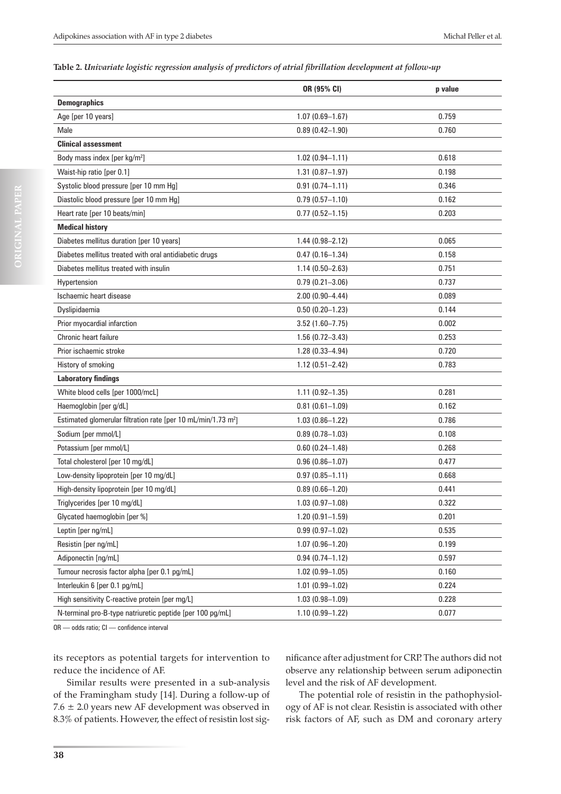## **Table 2.** *Univariate logistic regression analysis of predictors of atrial fibrillation development at follow-up*

|                                                                           | OR (95% CI)         | p value |
|---------------------------------------------------------------------------|---------------------|---------|
| <b>Demographics</b>                                                       |                     |         |
| Age [per 10 years]                                                        | $1.07(0.69 - 1.67)$ | 0.759   |
| Male                                                                      | $0.89(0.42 - 1.90)$ | 0.760   |
| <b>Clinical assessment</b>                                                |                     |         |
| Body mass index [per kg/m <sup>2</sup> ]                                  | $1.02(0.94 - 1.11)$ | 0.618   |
| Waist-hip ratio [per 0.1]                                                 | $1.31(0.87 - 1.97)$ | 0.198   |
| Systolic blood pressure [per 10 mm Hg]                                    | $0.91(0.74 - 1.11)$ | 0.346   |
| Diastolic blood pressure [per 10 mm Hg]                                   | $0.79(0.57 - 1.10)$ | 0.162   |
| Heart rate [per 10 beats/min]                                             | $0.77(0.52 - 1.15)$ | 0.203   |
| <b>Medical history</b>                                                    |                     |         |
| Diabetes mellitus duration [per 10 years]                                 | $1.44(0.98 - 2.12)$ | 0.065   |
| Diabetes mellitus treated with oral antidiabetic drugs                    | $0.47(0.16 - 1.34)$ | 0.158   |
| Diabetes mellitus treated with insulin                                    | $1.14(0.50 - 2.63)$ | 0.751   |
| Hypertension                                                              | $0.79(0.21 - 3.06)$ | 0.737   |
| Ischaemic heart disease                                                   | $2.00(0.90 - 4.44)$ | 0.089   |
| Dyslipidaemia                                                             | $0.50(0.20 - 1.23)$ | 0.144   |
| Prior myocardial infarction                                               | $3.52(1.60 - 7.75)$ | 0.002   |
| Chronic heart failure                                                     | $1.56(0.72 - 3.43)$ | 0.253   |
| Prior ischaemic stroke                                                    | $1.28(0.33 - 4.94)$ | 0.720   |
| History of smoking                                                        | $1.12(0.51 - 2.42)$ | 0.783   |
| <b>Laboratory findings</b>                                                |                     |         |
| White blood cells [per 1000/mcL]                                          | $1.11(0.92 - 1.35)$ | 0.281   |
| Haemoglobin [per g/dL]                                                    | $0.81(0.61 - 1.09)$ | 0.162   |
| Estimated glomerular filtration rate [per 10 mL/min/1.73 m <sup>2</sup> ] | $1.03(0.86 - 1.22)$ | 0.786   |
| Sodium [per mmol/L]                                                       | $0.89(0.78 - 1.03)$ | 0.108   |
| Potassium [per mmol/L]                                                    | $0.60(0.24 - 1.48)$ | 0.268   |
| Total cholesterol [per 10 mg/dL]                                          | $0.96(0.86 - 1.07)$ | 0.477   |
| Low-density lipoprotein [per 10 mg/dL]                                    | $0.97(0.85 - 1.11)$ | 0.668   |
| High-density lipoprotein [per 10 mg/dL]                                   | $0.89(0.66 - 1.20)$ | 0.441   |
| Triglycerides [per 10 mg/dL]                                              | $1.03(0.97 - 1.08)$ | 0.322   |
| Glycated haemoglobin [per %]                                              | $1.20(0.91 - 1.59)$ | 0.201   |
| Leptin [per ng/mL]                                                        | $0.99(0.97 - 1.02)$ | 0.535   |
| Resistin [per ng/mL]                                                      | $1.07(0.96 - 1.20)$ | 0.199   |
| Adiponectin [ng/mL]                                                       | $0.94(0.74 - 1.12)$ | 0.597   |
| Tumour necrosis factor alpha [per 0.1 pg/mL]                              | $1.02(0.99 - 1.05)$ | 0.160   |
| Interleukin 6 [per 0.1 pg/mL]                                             | $1.01(0.99 - 1.02)$ | 0.224   |
| High sensitivity C-reactive protein [per mg/L]                            | $1.03(0.98 - 1.09)$ | 0.228   |
| N-terminal pro-B-type natriuretic peptide [per 100 pg/mL]                 | $1.10(0.99 - 1.22)$ | 0.077   |

OR — odds ratio; CI — confidence interval

its receptors as potential targets for intervention to reduce the incidence of AF.

Similar results were presented in a sub-analysis of the Framingham study [14]. During a follow-up of  $7.6 \pm 2.0$  years new AF development was observed in 8.3% of patients. However, the effect of resistin lost sig-

nificance after adjustment for CRP. The authors did not observe any relationship between serum adiponectin level and the risk of AF development.

The potential role of resistin in the pathophysiology of AF is not clear. Resistin is associated with other risk factors of AF, such as DM and coronary artery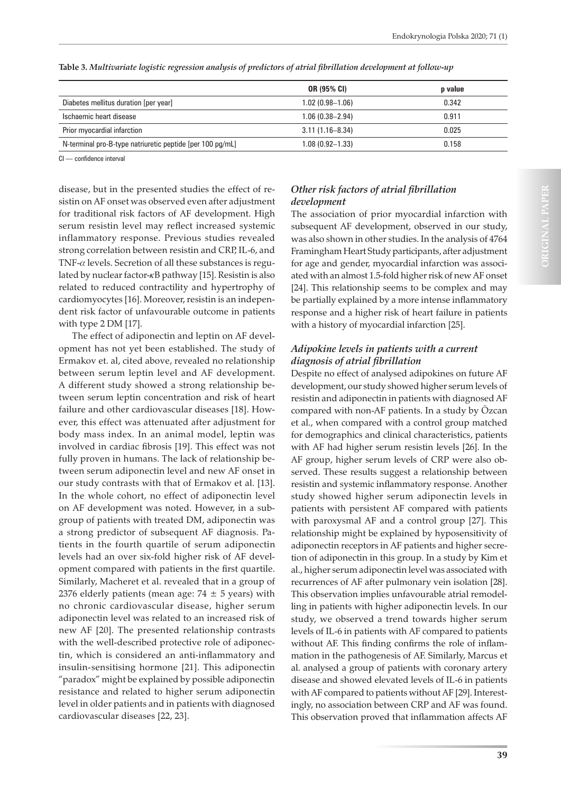|                                                           | <b>OR (95% CI)</b>  | p value |
|-----------------------------------------------------------|---------------------|---------|
| Diabetes mellitus duration [per year]                     | $1.02(0.98 - 1.06)$ | 0.342   |
| Ischaemic heart disease                                   | $1.06(0.38 - 2.94)$ | 0.911   |
| Prior myocardial infarction                               | $3.11(1.16 - 8.34)$ | 0.025   |
| N-terminal pro-B-type natriuretic peptide [per 100 pg/mL] | $1.08(0.92 - 1.33)$ | 0.158   |

**Table 3.** *Multivariate logistic regression analysis of predictors of atrial fibrillation development at follow-up*

CI — confidence interval

disease, but in the presented studies the effect of resistin on AF onset was observed even after adjustment for traditional risk factors of AF development. High serum resistin level may reflect increased systemic inflammatory response. Previous studies revealed strong correlation between resistin and CRP, IL-6, and TNF- $\alpha$  levels. Secretion of all these substances is regulated by nuclear factor- $\kappa$ B pathway [15]. Resistin is also related to reduced contractility and hypertrophy of cardiomyocytes [16]. Moreover, resistin is an independent risk factor of unfavourable outcome in patients with type 2 DM [17].

The effect of adiponectin and leptin on AF development has not yet been established. The study of Ermakov et. al, cited above, revealed no relationship between serum leptin level and AF development. A different study showed a strong relationship between serum leptin concentration and risk of heart failure and other cardiovascular diseases [18]. However, this effect was attenuated after adjustment for body mass index. In an animal model, leptin was involved in cardiac fibrosis [19]. This effect was not fully proven in humans. The lack of relationship between serum adiponectin level and new AF onset in our study contrasts with that of Ermakov et al. [13]. In the whole cohort, no effect of adiponectin level on AF development was noted. However, in a subgroup of patients with treated DM, adiponectin was a strong predictor of subsequent AF diagnosis. Patients in the fourth quartile of serum adiponectin levels had an over six-fold higher risk of AF development compared with patients in the first quartile. Similarly, Macheret et al. revealed that in a group of 2376 elderly patients (mean age:  $74 \pm 5$  years) with no chronic cardiovascular disease, higher serum adiponectin level was related to an increased risk of new AF [20]. The presented relationship contrasts with the well-described protective role of adiponectin, which is considered an anti-inflammatory and insulin-sensitising hormone [21]. This adiponectin "paradox" might be explained by possible adiponectin resistance and related to higher serum adiponectin level in older patients and in patients with diagnosed cardiovascular diseases [22, 23].

# *Other risk factors of atrial fibrillation development*

The association of prior myocardial infarction with subsequent AF development, observed in our study, was also shown in other studies. In the analysis of 4764 Framingham Heart Study participants, after adjustment for age and gender, myocardial infarction was associated with an almost 1.5-fold higher risk of new AF onset [24]. This relationship seems to be complex and may be partially explained by a more intense inflammatory response and a higher risk of heart failure in patients with a history of myocardial infarction [25].

# *Adipokine levels in patients with a current diagnosis of atrial fibrillation*

Despite no effect of analysed adipokines on future AF development, our study showed higher serum levels of resistin and adiponectin in patients with diagnosed AF compared with non-AF patients. In a study by Özcan et al., when compared with a control group matched for demographics and clinical characteristics, patients with AF had higher serum resistin levels [26]. In the AF group, higher serum levels of CRP were also observed. These results suggest a relationship between resistin and systemic inflammatory response. Another study showed higher serum adiponectin levels in patients with persistent AF compared with patients with paroxysmal AF and a control group [27]. This relationship might be explained by hyposensitivity of adiponectin receptors in AF patients and higher secretion of adiponectin in this group. In a study by Kim et al., higher serum adiponectin level was associated with recurrences of AF after pulmonary vein isolation [28]. This observation implies unfavourable atrial remodelling in patients with higher adiponectin levels. In our study, we observed a trend towards higher serum levels of IL-6 in patients with AF compared to patients without AF. This finding confirms the role of inflammation in the pathogenesis of AF. Similarly, Marcus et al. analysed a group of patients with coronary artery disease and showed elevated levels of IL-6 in patients with AF compared to patients without AF [29]. Interestingly, no association between CRP and AF was found. This observation proved that inflammation affects AF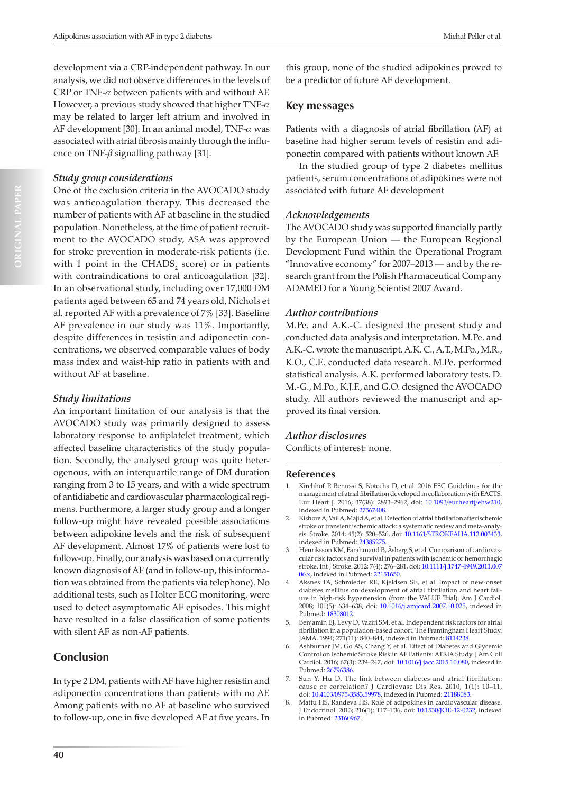development via a CRP-independent pathway. In our analysis, we did not observe differences in the levels of CRP or TNF- $\alpha$  between patients with and without AF. However, a previous study showed that higher TNF- $\alpha$ may be related to larger left atrium and involved in AF development [30]. In an animal model, TNF- $\alpha$  was associated with atrial fibrosis mainly through the influence on TNF- $\beta$  signalling pathway [31].

### *Study group considerations*

One of the exclusion criteria in the AVOCADO study was anticoagulation therapy. This decreased the number of patients with AF at baseline in the studied population. Nonetheless, at the time of patient recruitment to the AVOCADO study, ASA was approved for stroke prevention in moderate-risk patients (i.e. with 1 point in the  $\text{CHADS}_{2}$  score) or in patients with contraindications to oral anticoagulation [32]. In an observational study, including over 17,000 DM patients aged between 65 and 74 years old, Nichols et al. reported AF with a prevalence of 7% [33]. Baseline AF prevalence in our study was 11%. Importantly, despite differences in resistin and adiponectin concentrations, we observed comparable values of body mass index and waist-hip ratio in patients with and without AF at baseline.

## *Study limitations*

An important limitation of our analysis is that the AVOCADO study was primarily designed to assess laboratory response to antiplatelet treatment, which affected baseline characteristics of the study population. Secondly, the analysed group was quite heterogenous, with an interquartile range of DM duration ranging from 3 to 15 years, and with a wide spectrum of antidiabetic and cardiovascular pharmacological regimens. Furthermore, a larger study group and a longer follow-up might have revealed possible associations between adipokine levels and the risk of subsequent AF development. Almost 17% of patients were lost to follow-up. Finally, our analysis was based on a currently known diagnosis of AF (and in follow-up, this information was obtained from the patients via telephone). No additional tests, such as Holter ECG monitoring, were used to detect asymptomatic AF episodes. This might have resulted in a false classification of some patients with silent AF as non-AF patients.

# **Conclusion**

In type 2 DM, patients with AF have higher resistin and adiponectin concentrations than patients with no AF. Among patients with no AF at baseline who survived to follow-up, one in five developed AF at five years. In

this group, none of the studied adipokines proved to be a predictor of future AF development.

## **Key messages**

Patients with a diagnosis of atrial fibrillation (AF) at baseline had higher serum levels of resistin and adiponectin compared with patients without known AF.

In the studied group of type 2 diabetes mellitus patients, serum concentrations of adipokines were not associated with future AF development

### *Acknowledgements*

The AVOCADO study was supported financially partly by the European Union — the European Regional Development Fund within the Operational Program "Innovative economy" for 2007–2013 — and by the research grant from the Polish Pharmaceutical Company ADAMED for a Young Scientist 2007 Award.

### *Author contributions*

M.Pe. and A.K.-C. designed the present study and conducted data analysis and interpretation. M.Pe. and A.K.-C. wrote the manuscript. A.K.‐C., A.T., M.Po., M.R., K.O., C.E. conducted data research. M.Pe. performed statistical analysis. A.K. performed laboratory tests. D. M.-G., M.Po., K.J.F., and G.O. designed the AVOCADO study. All authors reviewed the manuscript and approved its final version.

#### *Author disclosures*

Conflicts of interest: none.

#### **References**

- 1. Kirchhof P, Benussi S, Kotecha D, et al. 2016 ESC Guidelines for the management of atrial fibrillation developed in collaboration with EACTS. Eur Heart J. 2016; 37(38): 2893–2962, doi: [10.1093/eurheartj/ehw210](http://dx.doi.org/10.1093/eurheartj/ehw210), indexed in Pubmed: [27567408.](https://www.ncbi.nlm.nih.gov/pubmed/27567408)
- 2. Kishore A, Vail A, Majid A, et al. Detection of atrial fibrillation after ischemic stroke or transient ischemic attack: a systematic review and meta-analysis. Stroke. 2014; 45(2): 520–526, doi: [10.1161/STROKEAHA.113.003433](http://dx.doi.org/10.1161/STROKEAHA.113.003433), indexed in Pubmed: [24385275.](https://www.ncbi.nlm.nih.gov/pubmed/24385275)
- 3. Henriksson KM, Farahmand B, Åsberg S, et al. Comparison of cardiovascular risk factors and survival in patients with ischemic or hemorrhagic stroke. Int J Stroke. 2012; 7(4): 276–281, doi: [10.1111/j.1747-4949.2011.007](http://dx.doi.org/10.1111/j.1747-4949.2011.00706.x) [06.x,](http://dx.doi.org/10.1111/j.1747-4949.2011.00706.x) indexed in Pubmed: [22151650](https://www.ncbi.nlm.nih.gov/pubmed/22151650).
- 4. Aksnes TA, Schmieder RE, Kjeldsen SE, et al. Impact of new-onset diabetes mellitus on development of atrial fibrillation and heart failure in high-risk hypertension (from the VALUE Trial). Am J Cardiol. 2008; 101(5): 634–638, doi: [10.1016/j.amjcard.2007.10.025](http://dx.doi.org/10.1016/j.amjcard.2007.10.025), indexed in Pubmed: [18308012.](https://www.ncbi.nlm.nih.gov/pubmed/18308012)
- 5. Benjamin EJ, Levy D, Vaziri SM, et al. Independent risk factors for atrial fibrillation in a population-based cohort. The Framingham Heart Study. JAMA. 1994;  $271(11)$ : 840–844, indexed in Pubmed: [8114238.](https://www.ncbi.nlm.nih.gov/pubmed/8114238)
- 6. Ashburner JM, Go AS, Chang Y, et al. Effect of Diabetes and Glycemic Control on Ischemic Stroke Risk in AF Patients: ATRIA Study. J Am Coll Cardiol. 2016; 67(3): 239–247, doi: [10.1016/j.jacc.2015.10.080,](http://dx.doi.org/10.1016/j.jacc.2015.10.080) indexed in Pubmed: [26796386.](https://www.ncbi.nlm.nih.gov/pubmed/26796386)
- 7. Sun Y, Hu D. The link between diabetes and atrial fibrillation: cause or correlation? J Cardiovasc Dis Res. 2010; 1(1): 10–11, doi: [10.4103/0975-3583.59978](http://dx.doi.org/10.4103/0975-3583.59978), indexed in Pubmed: [21188083.](https://www.ncbi.nlm.nih.gov/pubmed/21188083)
- 8. Mattu HS, Randeva HS. Role of adipokines in cardiovascular disease. J Endocrinol. 2013; 216(1): T17–T36, doi: [10.1530/JOE-12-0232,](http://dx.doi.org/10.1530/JOE-12-0232) indexed in Pubmed: [23160967](https://www.ncbi.nlm.nih.gov/pubmed/23160967).

**40**